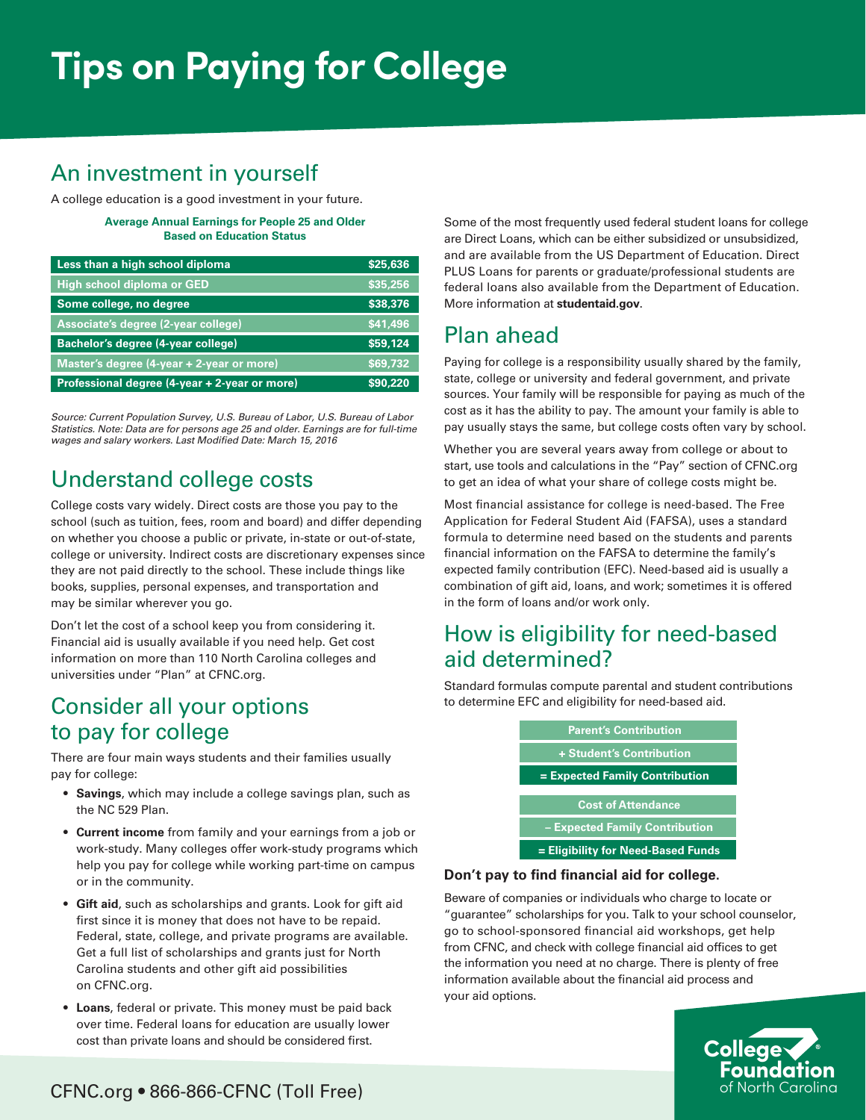# **Tips on Paying for College**

# An investment in yourself

A college education is a good investment in your future.

**Average Annual Earnings for People 25 and Older Based on Education Status**

| Less than a high school diploma               | \$25,636 |
|-----------------------------------------------|----------|
| High school diploma or GED                    | \$35,256 |
| Some college, no degree                       | \$38,376 |
| Associate's degree (2-year college)           | \$41,496 |
| Bachelor's degree (4-year college)            | \$59,124 |
| Master's degree (4-year + 2-year or more)     | \$69,732 |
| Professional degree (4-year + 2-year or more) | \$90.220 |

*Source: Current Population Survey, U.S. Bureau of Labor, U.S. Bureau of Labor Statistics. Note: Data are for persons age 25 and older. Earnings are for full-time wages and salary workers. Last Modified Date: March 15, 2016*

# Understand college costs

College costs vary widely. Direct costs are those you pay to the school (such as tuition, fees, room and board) and differ depending on whether you choose a public or private, in-state or out-of-state, college or university. Indirect costs are discretionary expenses since they are not paid directly to the school. These include things like books, supplies, personal expenses, and transportation and may be similar wherever you go.

Don't let the cost of a school keep you from considering it. Financial aid is usually available if you need help. Get cost information on more than 110 North Carolina colleges and universities under "Plan" at CFNC.org.

#### Consider all your options to pay for college

There are four main ways students and their families usually pay for college:

- **Savings**, which may include a college savings plan, such as the NC 529 Plan.
- **Current income** from family and your earnings from a job or work-study. Many colleges offer work-study programs which help you pay for college while working part-time on campus or in the community.
- **Gift aid**, such as scholarships and grants. Look for gift aid first since it is money that does not have to be repaid. Federal, state, college, and private programs are available. Get a full list of scholarships and grants just for North Carolina students and other gift aid possibilities on CFNC.org.
- **Loans**, federal or private. This money must be paid back over time. Federal loans for education are usually lower cost than private loans and should be considered first.

Some of the most frequently used federal student loans for college are Direct Loans, which can be either subsidized or unsubsidized, and are available from the US Department of Education. Direct PLUS Loans for parents or graduate/professional students are federal loans also available from the Department of Education. More information at **studentaid.gov**.

## Plan ahead

Paying for college is a responsibility usually shared by the family, state, college or university and federal government, and private sources. Your family will be responsible for paying as much of the cost as it has the ability to pay. The amount your family is able to pay usually stays the same, but college costs often vary by school.

Whether you are several years away from college or about to start, use tools and calculations in the "Pay" section of CFNC.org to get an idea of what your share of college costs might be.

Most financial assistance for college is need-based. The Free Application for Federal Student Aid (FAFSA), uses a standard formula to determine need based on the students and parents financial information on the FAFSA to determine the family's expected family contribution (EFC). Need-based aid is usually a combination of gift aid, loans, and work; sometimes it is offered in the form of loans and/or work only.

## How is eligibility for need-based aid determined?

Standard formulas compute parental and student contributions to determine EFC and eligibility for need-based aid.

| <b>Parent's Contribution</b>        |  |
|-------------------------------------|--|
| <b>+ Student's Contribution</b>     |  |
| <b>Expected Family Contribution</b> |  |
| <b>Cost of Attendance</b>           |  |
| - Expected Family Contribution      |  |
| = Eligibility for Need-Based Funds  |  |

#### **Don't pay to find financial aid for college.**

Beware of companies or individuals who charge to locate or "guarantee" scholarships for you. Talk to your school counselor, go to school-sponsored financial aid workshops, get help from CFNC, and check with college financial aid offices to get the information you need at no charge. There is plenty of free information available about the financial aid process and your aid options.